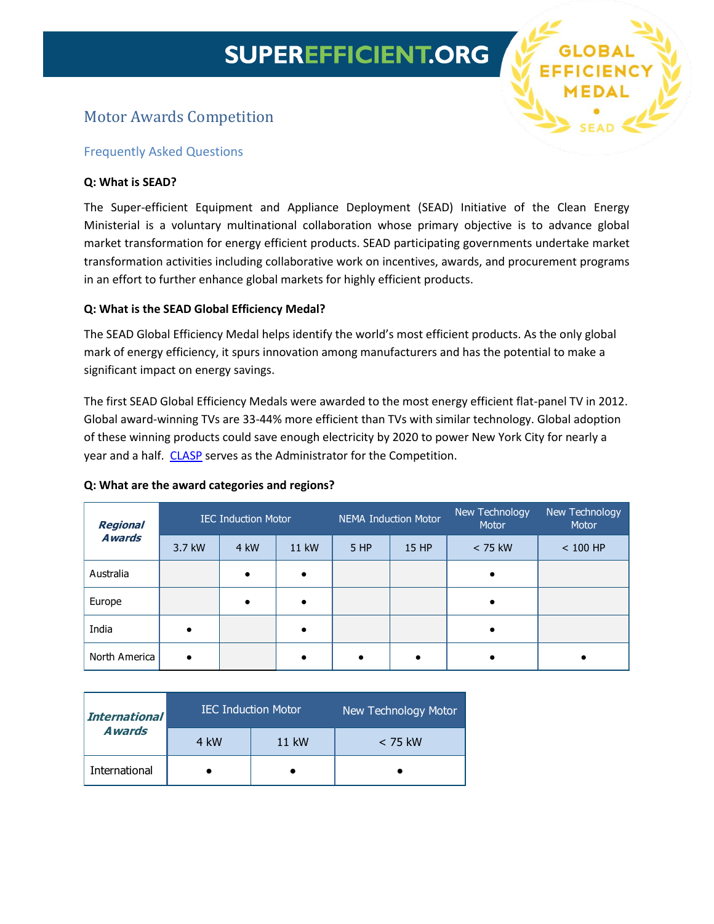# **SUPEREFFICIENT.ORG**

**EFFICIEN** 

# Motor Awards Competition

# Frequently Asked Questions

#### **Q: What is SEAD?**

The Super-efficient Equipment and Appliance Deployment (SEAD) Initiative of the Clean Energy Ministerial is a voluntary multinational collaboration whose primary objective is to advance global market transformation for energy efficient products. SEAD participating governments undertake market transformation activities including collaborative work on incentives, awards, and procurement programs in an effort to further enhance global markets for highly efficient products.

#### **Q: What is the SEAD Global Efficiency Medal?**

The SEAD Global Efficiency Medal helps identify the world's most efficient products. As the only global mark of energy efficiency, it spurs innovation among manufacturers and has the potential to make a significant impact on energy savings.

The first SEAD Global Efficiency Medals were awarded to the most energy efficient flat-panel TV in 2012. Global award-winning TVs are 33-44% more efficient than TVs with similar technology. Global adoption of these winning products could save enough electricity by 2020 to power New York City for nearly a year and a half. [CLASP](http://www.clasponline.org/) serves as the Administrator for the Competition.

| <b>Regional</b><br><b>A</b> wards | <b>IEC Induction Motor</b> |           |       | <b>NEMA Induction Motor</b> |       | New Technology<br>Motor | New Technology<br>Motor |
|-----------------------------------|----------------------------|-----------|-------|-----------------------------|-------|-------------------------|-------------------------|
|                                   | 3.7 kW                     | 4 kW      | 11 kW | <b>5 HP</b>                 | 15 HP | $<$ 75 kW               | $< 100$ HP              |
| Australia                         |                            | $\bullet$ |       |                             |       |                         |                         |
| Europe                            |                            | $\bullet$ |       |                             |       |                         |                         |
| India                             |                            |           |       |                             |       |                         |                         |
| North America                     | $\bullet$                  |           |       |                             |       |                         |                         |

#### **Q: What are the award categories and regions?**

| <i>International</i> |      | <b>IEC Induction Motor</b> | <b>New Technology Motor</b> |  |
|----------------------|------|----------------------------|-----------------------------|--|
| <b>A</b> wards       | 4 kW | 11 kW                      | $<$ 75 kW                   |  |
| International        |      |                            |                             |  |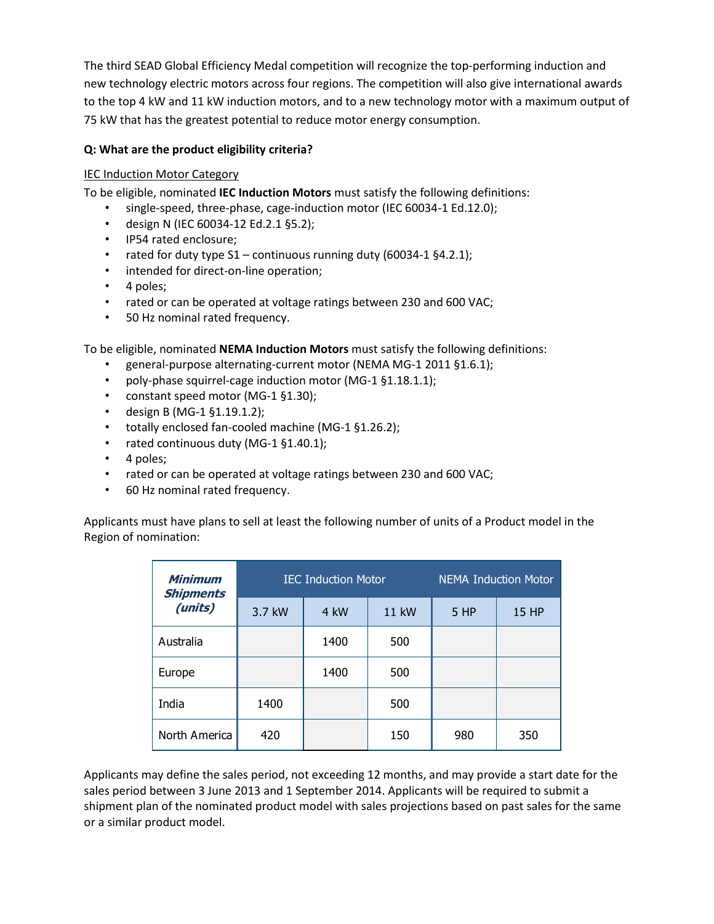The third SEAD Global Efficiency Medal competition will recognize the top-performing induction and new technology electric motors across four regions. The competition will also give international awards to the top 4 kW and 11 kW induction motors, and to a new technology motor with a maximum output of 75 kW that has the greatest potential to reduce motor energy consumption.

# **Q: What are the product eligibility criteria?**

#### IEC Induction Motor Category

To be eligible, nominated **IEC Induction Motors** must satisfy the following definitions:

- single-speed, three-phase, cage-induction motor (IEC 60034-1 Ed.12.0);
- design N (IEC 60034-12 Ed.2.1 §5.2);
- IP54 rated enclosure;
- rated for duty type  $S1$  continuous running duty (60034-1 §4.2.1);
- intended for direct-on-line operation;
- 4 poles;
- rated or can be operated at voltage ratings between 230 and 600 VAC;
- 50 Hz nominal rated frequency.

To be eligible, nominated **NEMA Induction Motors** must satisfy the following definitions:

- general-purpose alternating-current motor (NEMA MG-1 2011 §1.6.1);
- poly-phase squirrel-cage induction motor (MG-1 §1.18.1.1);
- constant speed motor (MG-1 §1.30);
- design B (MG-1 §1.19.1.2);
- totally enclosed fan-cooled machine (MG-1 §1.26.2);
- rated continuous duty (MG-1 §1.40.1);
- 4 poles;
- rated or can be operated at voltage ratings between 230 and 600 VAC;
- 60 Hz nominal rated frequency.

Applicants must have plans to sell at least the following number of units of a Product model in the Region of nomination:

| <b>Minimum</b><br><b>Shipments</b> |        | <b>IEC Induction Motor</b> | <b>NEMA Induction Motor</b> |      |              |
|------------------------------------|--------|----------------------------|-----------------------------|------|--------------|
| (units)                            | 3.7 kW | 4 kW                       | 11 kW                       | 5 HP | <b>15 HP</b> |
| Australia                          |        | 1400                       | 500                         |      |              |
| Europe                             |        | 1400                       | 500                         |      |              |
| India                              | 1400   |                            | 500                         |      |              |
| North America                      | 420    |                            | 150                         | 980  | 350          |

Applicants may define the sales period, not exceeding 12 months, and may provide a start date for the sales period between 3 June 2013 and 1 September 2014. Applicants will be required to submit a shipment plan of the nominated product model with sales projections based on past sales for the same or a similar product model.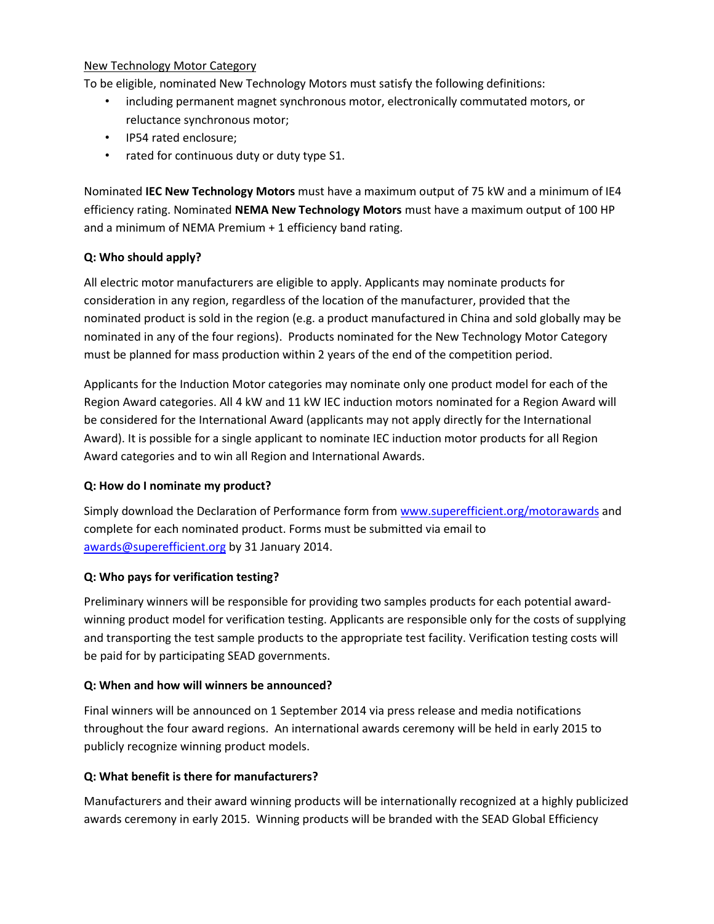#### New Technology Motor Category

To be eligible, nominated New Technology Motors must satisfy the following definitions:

- including permanent magnet synchronous motor, electronically commutated motors, or reluctance synchronous motor;
- IP54 rated enclosure;
- rated for continuous duty or duty type S1.

Nominated **IEC New Technology Motors** must have a maximum output of 75 kW and a minimum of IE4 efficiency rating. Nominated **NEMA New Technology Motors** must have a maximum output of 100 HP and a minimum of NEMA Premium + 1 efficiency band rating.

# **Q: Who should apply?**

All electric motor manufacturers are eligible to apply. Applicants may nominate products for consideration in any region, regardless of the location of the manufacturer, provided that the nominated product is sold in the region (e.g. a product manufactured in China and sold globally may be nominated in any of the four regions). Products nominated for the New Technology Motor Category must be planned for mass production within 2 years of the end of the competition period.

Applicants for the Induction Motor categories may nominate only one product model for each of the Region Award categories. All 4 kW and 11 kW IEC induction motors nominated for a Region Award will be considered for the International Award (applicants may not apply directly for the International Award). It is possible for a single applicant to nominate IEC induction motor products for all Region Award categories and to win all Region and International Awards.

#### **Q: How do I nominate my product?**

Simply download the Declaration of Performance form from [www.superefficient.org/motorawards](http://www.superefficient.org/motorawards) and complete for each nominated product. Forms must be submitted via email to [awards@superefficient.org](mailto:awards@superefficient.org) by 31 January 2014.

#### **Q: Who pays for verification testing?**

Preliminary winners will be responsible for providing two samples products for each potential awardwinning product model for verification testing. Applicants are responsible only for the costs of supplying and transporting the test sample products to the appropriate test facility. Verification testing costs will be paid for by participating SEAD governments.

#### **Q: When and how will winners be announced?**

Final winners will be announced on 1 September 2014 via press release and media notifications throughout the four award regions. An international awards ceremony will be held in early 2015 to publicly recognize winning product models.

# **Q: What benefit is there for manufacturers?**

Manufacturers and their award winning products will be internationally recognized at a highly publicized awards ceremony in early 2015. Winning products will be branded with the SEAD Global Efficiency